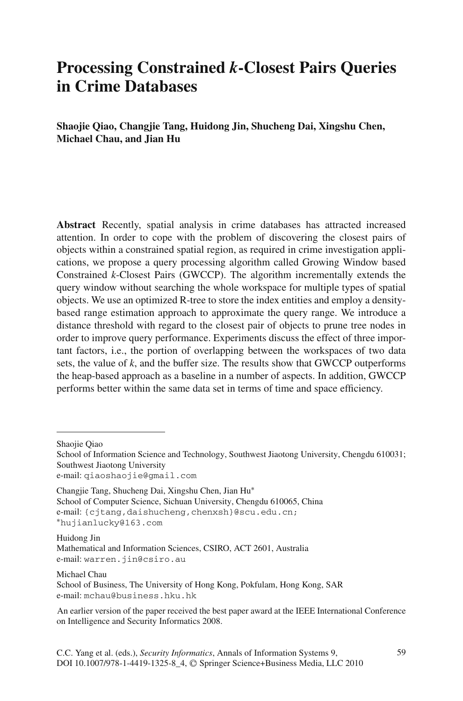# **Processing Constrained** *k***-Closest Pairs Queries in Crime Databases**

**Shaojie Qiao, Changjie Tang, Huidong Jin, Shucheng Dai, Xingshu Chen, Michael Chau, and Jian Hu**

**Abstract** Recently[,](#page-0-0) spatial analysis in crime databases has attracted increased attention. In order to cope with the problem of discovering the closest pairs of objects within a constrained spatial region, as required in crime investigation applications, we propose a query processing algorithm called Growing Window based Constrained *k*-Closest Pairs (GWCCP). The algorithm incrementally extends the query window without searching the whole workspace for multiple types of spatial objects. We use an optimized R-tree to store the index entities and employ a densitybased range estimation approach to approximate the query range. We introduce a distance threshold with regard to the closest pair of objects to prune tree nodes in order to improve query performance. Experiments discuss the effect of three important factors, i.e., the portion of overlapping between the workspaces of two data sets, the value of *k*, and the buffer size. The results show that GWCCP outperforms the heap-based approach as a baseline in a number of aspects. In addition, GWCCP performs better within the same data set in terms of time and space efficiency.

Shaojie Qiao

Changjie Tang, Shucheng Dai, Xingshu Chen, Jian Hu<sup>∗</sup> School of Computer Science, Sichuan University, Chengdu 610065, China e-mail: {cjtang,daishucheng,chenxsh}@scu.edu.cn;<br>\*hujianlucky@163.com

Michael Chau School of Business, The University of Hong Kong, Pokfulam, Hong Kong, SAR e-mail: mchau@business.hku.hk

An earlier version of the paper received the best paper award at the IEEE International Conference on Intelligence and Security Informatics 2008.

<span id="page-0-0"></span>School of Information Science and Technology, Southwest Jiaotong University, Chengdu 610031; Southwest Jiaotong University

e-mail: qiaoshaojie@gmail.com

Huidong Jin Mathematical and Information Sciences, CSIRO, ACT 2601, Australia e-mail: warren.jin@csiro.au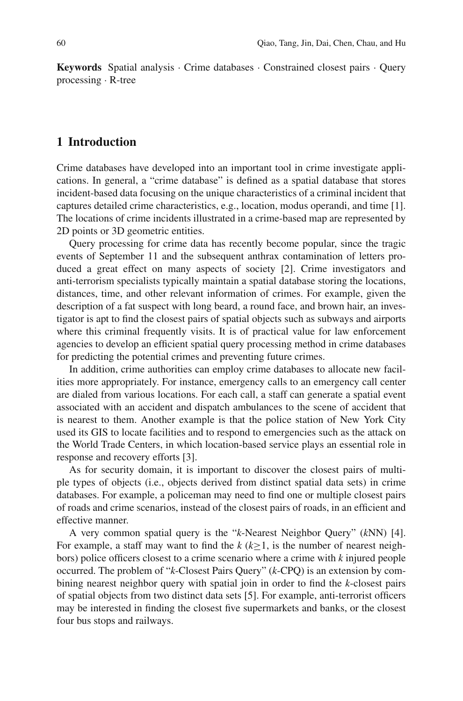**Keywords** Spatial analysis · Crime databases · Constrained closest pairs · Query processing · R-tree

## **1 Introduction**

Crime databases have developed into an important tool in crime investigate applications. In general, a "crime database" is defined as a spatial database that stores incident-based data focusing on the unique characteristics of a criminal incident that captures detailed crime characteristics, e.g., location, modus operandi, and time [\[1\]](#page-15-0). The locations of crime incidents illustrated in a crime-based map are represented by 2D points or 3D geometric entities.

Query processing for crime data has recently become popular, since the tragic events of September 11 and the subsequent anthrax contamination of letters produced a great effect on many aspects of society [\[2\]](#page-15-1). Crime investigators and anti-terrorism specialists typically maintain a spatial database storing the locations, distances, time, and other relevant information of crimes. For example, given the description of a fat suspect with long beard, a round face, and brown hair, an investigator is apt to find the closest pairs of spatial objects such as subways and airports where this criminal frequently visits. It is of practical value for law enforcement agencies to develop an efficient spatial query processing method in crime databases for predicting the potential crimes and preventing future crimes.

In addition, crime authorities can employ crime databases to allocate new facilities more appropriately. For instance, emergency calls to an emergency call center are dialed from various locations. For each call, a staff can generate a spatial event associated with an accident and dispatch ambulances to the scene of accident that is nearest to them. Another example is that the police station of New York City used its GIS to locate facilities and to respond to emergencies such as the attack on the World Trade Centers, in which location-based service plays an essential role in response and recovery efforts [\[3\]](#page-15-2).

As for security domain, it is important to discover the closest pairs of multiple types of objects (i.e., objects derived from distinct spatial data sets) in crime databases. For example, a policeman may need to find one or multiple closest pairs of roads and crime scenarios, instead of the closest pairs of roads, in an efficient and effective manner.

A very common spatial query is the "*k*-Nearest Neighbor Query" (*k*NN) [\[4\]](#page-15-3). For example, a staff may want to find the  $k$  ( $k>1$ , is the number of nearest neighbors) police officers closest to a crime scenario where a crime with *k* injured people occurred. The problem of "*k*-Closest Pairs Query" (*k*-CPQ) is an extension by combining nearest neighbor query with spatial join in order to find the *k*-closest pairs of spatial objects from two distinct data sets [\[5\]](#page-16-0). For example, anti-terrorist officers may be interested in finding the closest five supermarkets and banks, or the closest four bus stops and railways.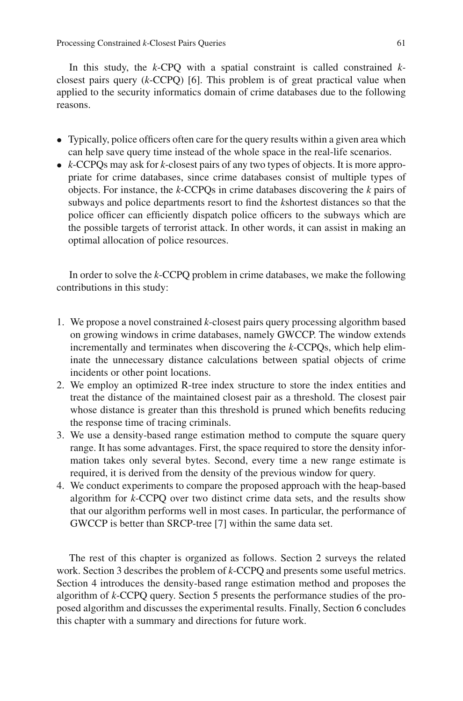In this study, the *k*-CPQ with a spatial constraint is called constrained *k*closest pairs query (*k*-CCPQ) [\[6\]](#page-16-1). This problem is of great practical value when applied to the security informatics domain of crime databases due to the following reasons.

- Typically, police officers often care for the query results within a given area which can help save query time instead of the whole space in the real-life scenarios.
- *k*-CCPQs may ask for *k*-closest pairs of any two types of objects. It is more appropriate for crime databases, since crime databases consist of multiple types of objects. For instance, the *k*-CCPQs in crime databases discovering the *k* pairs of subways and police departments resort to find the *k*shortest distances so that the police officer can efficiently dispatch police officers to the subways which are the possible targets of terrorist attack. In other words, it can assist in making an optimal allocation of police resources.

In order to solve the *k*-CCPQ problem in crime databases, we make the following contributions in this study:

- 1. We propose a novel constrained *k*-closest pairs query processing algorithm based on growing windows in crime databases, namely GWCCP. The window extends incrementally and terminates when discovering the *k*-CCPQs, which help eliminate the unnecessary distance calculations between spatial objects of crime incidents or other point locations.
- 2. We employ an optimized R-tree index structure to store the index entities and treat the distance of the maintained closest pair as a threshold. The closest pair whose distance is greater than this threshold is pruned which benefits reducing the response time of tracing criminals.
- 3. We use a density-based range estimation method to compute the square query range. It has some advantages. First, the space required to store the density information takes only several bytes. Second, every time a new range estimate is required, it is derived from the density of the previous window for query.
- 4. We conduct experiments to compare the proposed approach with the heap-based algorithm for *k*-CCPQ over two distinct crime data sets, and the results show that our algorithm performs well in most cases. In particular, the performance of GWCCP is better than SRCP-tree [\[7\]](#page-16-2) within the same data set.

<span id="page-2-0"></span>The rest of this chapter is organized as follows. Section [2](#page-2-0) surveys the related work. Section [3](#page-3-0) describes the problem of *k*-CCPQ and presents some useful metrics. Section [4](#page-4-0) introduces the density-based range estimation method and proposes the algorithm of *k*-CCPQ query. Section [5](#page-9-0) presents the performance studies of the proposed algorithm and discusses the experimental results. Finally, Section [6](#page-14-0) concludes this chapter with a summary and directions for future work.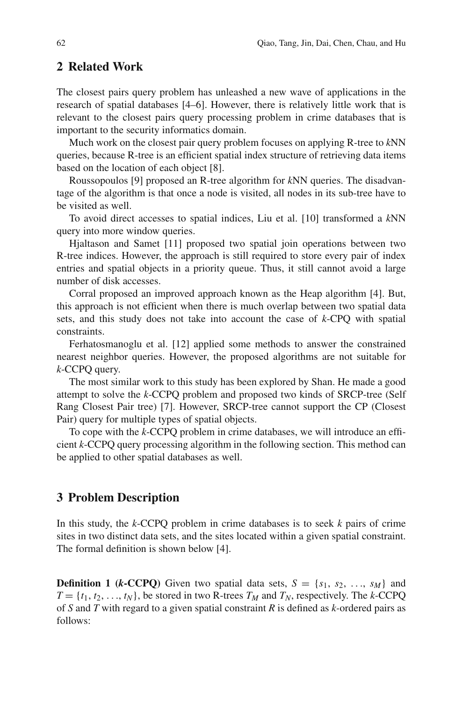## **2 Related Work**

The closest pairs query problem has unleashed a new wave of applications in the research of spatial databases [\[4](#page-15-3)[–6\]](#page-16-1). However, there is relatively little work that is relevant to the closest pairs query processing problem in crime databases that is important to the security informatics domain.

Much work on the closest pair query problem focuses on applying R-tree to *k*NN queries, because R-tree is an efficient spatial index structure of retrieving data items based on the location of each object [\[8\]](#page-16-3).

Roussopoulos [\[9\]](#page-16-4) proposed an R-tree algorithm for *k*NN queries. The disadvantage of the algorithm is that once a node is visited, all nodes in its sub-tree have to be visited as well.

To avoid direct accesses to spatial indices, Liu et al. [\[10\]](#page-16-5) transformed a *k*NN query into more window queries.

Hjaltason and Samet [\[11\]](#page-16-6) proposed two spatial join operations between two R-tree indices. However, the approach is still required to store every pair of index entries and spatial objects in a priority queue. Thus, it still cannot avoid a large number of disk accesses.

Corral proposed an improved approach known as the Heap algorithm [\[4\]](#page-15-3). But, this approach is not efficient when there is much overlap between two spatial data sets, and this study does not take into account the case of *k*-CPQ with spatial constraints.

Ferhatosmanoglu et al. [\[12\]](#page-16-7) applied some methods to answer the constrained nearest neighbor queries. However, the proposed algorithms are not suitable for *k*-CCPQ query.

The most similar work to this study has been explored by Shan. He made a good attempt to solve the *k*-CCPQ problem and proposed two kinds of SRCP-tree (Self Rang Closest Pair tree) [\[7\]](#page-16-2). However, SRCP-tree cannot support the CP (Closest Pair) query for multiple types of spatial objects.

To cope with the *k*-CCPQ problem in crime databases, we will introduce an efficient *k*-CCPQ query processing algorithm in the following section. This method can be applied to other spatial databases as well.

#### <span id="page-3-0"></span>**3 Problem Description**

In this study, the *k*-CCPQ problem in crime databases is to seek *k* pairs of crime sites in two distinct data sets, and the sites located within a given spatial constraint. The formal definition is shown below [\[4\]](#page-15-3).

**Definition 1 (***k***-CCPQ**) Given two spatial data sets,  $S = \{s_1, s_2, \ldots, s_M\}$  and  $T = \{t_1, t_2, \ldots, t_N\}$ , be stored in two R-trees  $T_M$  and  $T_N$ , respectively. The *k*-CCPQ of *S* and *T* with regard to a given spatial constraint *R* is defined as *k-*ordered pairs as follows: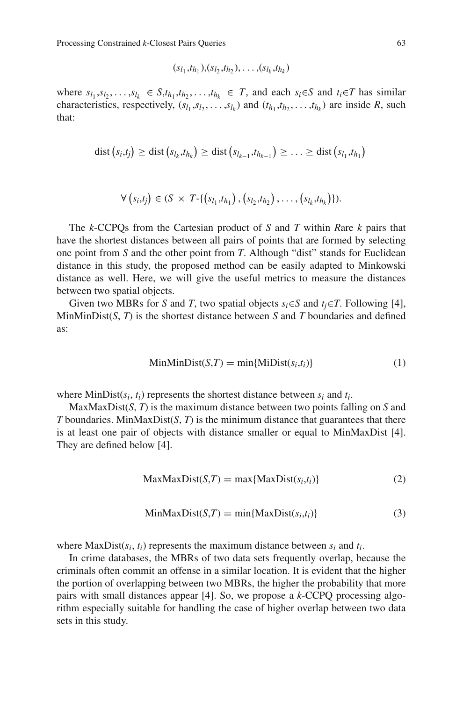$$
(s_{l_1}, t_{h_1}), (s_{l_2}, t_{h_2}), \ldots, (s_{l_k}, t_{h_k})
$$

where  $s_{l_1}, s_{l_2}, \ldots, s_{l_k} \in S$ ,  $t_{h_1}, t_{h_2}, \ldots, t_{h_k} \in T$ , and each  $s_i \in S$  and  $t_i \in T$  has similar characteristics, respectively,  $(s_l_1, s_l_2, \ldots, s_l_k)$  and  $(t_h_1, t_h_2, \ldots, t_h_k)$  are inside *R*, such that:

$$
dist(s_i,t_j) \geq dist(s_{l_k},t_{h_k}) \geq dist(s_{l_{k-1}},t_{h_{k-1}}) \geq \ldots \geq dist(s_{l_1},t_{h_1})
$$

$$
\forall (s_i,t_j) \in (S \times T\text{-}\{(s_{l_1},t_{h_1}), (s_{l_2},t_{h_2}), \ldots, (s_{l_k},t_{h_k})\}).
$$

The *k*-CCPQs from the Cartesian product of *S* and *T* within *R*are *k* pairs that have the shortest distances between all pairs of points that are formed by selecting one point from *S* and the other point from *T*. Although "dist" stands for Euclidean distance in this study, the proposed method can be easily adapted to Minkowski distance as well. Here, we will give the useful metrics to measure the distances between two spatial objects.

Given two MBRs for *S* and *T*, two spatial objects  $s_i \in S$  and  $t_i \in T$ . Following [\[4\]](#page-15-3), MinMinDist(*S*, *T*) is the shortest distance between *S* and *T* boundaries and defined as:

$$
MinMinDist(S,T) = min\{MiDist(s_i,t_i)\}
$$
\n(1)

where  $MinDist(s_i, t_i)$  represents the shortest distance between  $s_i$  and  $t_i$ .

MaxMaxDist(*S*, *T*) is the maximum distance between two points falling on *S* and *T* boundaries. MinMaxDist(*S*, *T*) is the minimum distance that guarantees that there is at least one pair of objects with distance smaller or equal to MinMaxDist [\[4\]](#page-15-3). They are defined below [\[4\]](#page-15-3).

$$
MaxMaxDist(S, T) = max\{MaxDist(s_i, t_i)\}\tag{2}
$$

$$
MinMaxDist(S, T) = min\{MaxDist(s_i, t_i)\}\tag{3}
$$

where  $MaxDist(s_i, t_i)$  represents the maximum distance between  $s_i$  and  $t_i$ .

<span id="page-4-0"></span>In crime databases, the MBRs of two data sets frequently overlap, because the criminals often commit an offense in a similar location. It is evident that the higher the portion of overlapping between two MBRs, the higher the probability that more pairs with small distances appear [\[4\]](#page-15-3). So, we propose a *k*-CCPQ processing algorithm especially suitable for handling the case of higher overlap between two data sets in this study.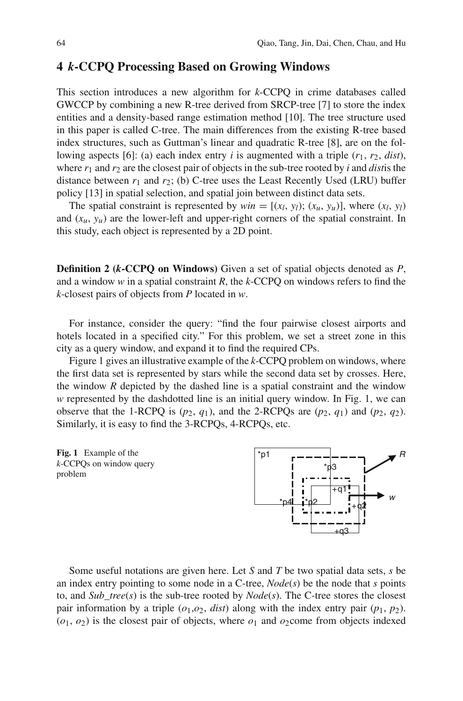## **4** *k***-CCPQ Processing Based on Growing Windows**

This section introduces a new algorithm for *k*-CCPQ in crime databases called GWCCP by combining a new R-tree derived from SRCP-tree [\[7\]](#page-16-2) to store the index entities and a density-based range estimation method [\[10\]](#page-16-5). The tree structure used in this paper is called C-tree. The main differences from the existing R-tree based index structures, such as Guttman's linear and quadratic R-tree [\[8\]](#page-16-3), are on the fol-lowing aspects [\[6\]](#page-16-1): (a) each index entry *i* is augmented with a triple  $(r_1, r_2, dist)$ , where  $r_1$  and  $r_2$  are the closest pair of objects in the sub-tree rooted by *i* and *distis* the distance between  $r_1$  and  $r_2$ ; (b) C-tree uses the Least Recently Used (LRU) buffer policy [\[13\]](#page-16-8) in spatial selection, and spatial join between distinct data sets.

The spatial constraint is represented by  $win = [(x_l, y_l); (x_u, y_u)]$ , where  $(x_l, y_l)$ and  $(x_u, y_u)$  are the lower-left and upper-right corners of the spatial constraint. In this study, each object is represented by a 2D point.

**Definition 2 (***k***-CCPQ on Windows)** Given a set of spatial objects denoted as *P*, and a window *w* in a spatial constraint *R*, the *k*-CCPQ on windows refers to find the *k*-closest pairs of objects from *P* located in *w*.

For instance, consider the query: "find the four pairwise closest airports and hotels located in a specified city." For this problem, we set a street zone in this city as a query window, and expand it to find the required CPs.

Figure [1](#page-5-0) gives an illustrative example of the *k*-CCPQ problem on windows, where the first data set is represented by stars while the second data set by crosses. Here, the window  $R$  depicted by the dashed line is a spatial constraint and the window *w* represented by the dashdotted line is an initial query window. In Fig. [1,](#page-5-0) we can observe that the 1-RCPQ is  $(p_2, q_1)$ , and the 2-RCPQs are  $(p_2, q_1)$  and  $(p_2, q_2)$ . Similarly, it is easy to find the 3-RCPQs, 4-RCPQs, etc.

<span id="page-5-0"></span>



Some useful notations are given here. Let *S* and *T* be two spatial data sets, *s* be an index entry pointing to some node in a C-tree, *Node*(*s*) be the node that *s* points to, and  $Sub\_tree(s)$  is the sub-tree rooted by  $Node(s)$ . The C-tree stores the closest pair information by a triple  $(o_1, o_2, dist)$  along with the index entry pair  $(p_1, p_2)$ .  $(o_1, o_2)$  is the closest pair of objects, where  $o_1$  and  $o_2$ come from objects indexed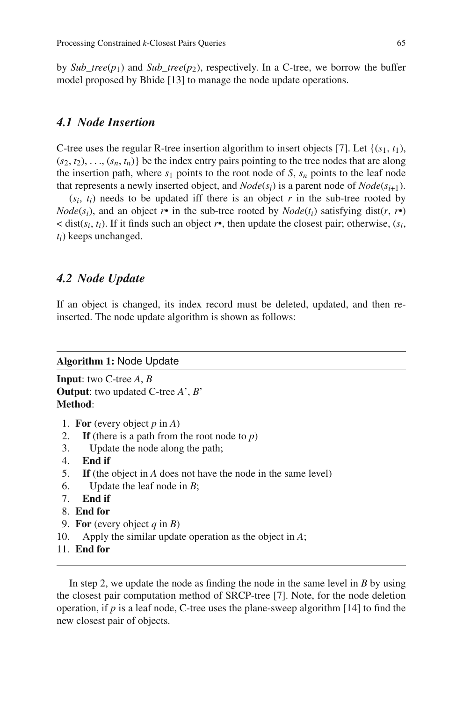by *Sub* tree( $p_1$ ) and *Sub* tree( $p_2$ ), respectively. In a C-tree, we borrow the buffer model proposed by Bhide [\[13\]](#page-16-8) to manage the node update operations.

# *4.1 Node Insertion*

C-tree uses the regular R-tree insertion algorithm to insert objects [\[7\]](#page-16-2). Let  $\{(s_1, t_1),$  $(s_2, t_2), \ldots, (s_n, t_n)$  be the index entry pairs pointing to the tree nodes that are along the insertion path, where  $s_1$  points to the root node of  $S$ ,  $s_n$  points to the leaf node that represents a newly inserted object, and  $Node(s_i)$  is a parent node of  $Node(s_{i+1})$ .

 $(s_i, t_i)$  needs to be updated iff there is an object *r* in the sub-tree rooted by *Node*( $s_i$ ), and an object  $r \cdot$  in the sub-tree rooted by *Node*( $t_i$ ) satisfying dist( $r$ ,  $r \cdot$ )  $\leq$  dist( $s_i$ ,  $t_i$ ). If it finds such an object  $r \cdot$ , then update the closest pair; otherwise,  $(s_i, t_i)$ *ti*) keeps unchanged.

## *4.2 Node Update*

If an object is changed, its index record must be deleted, updated, and then reinserted. The node update algorithm is shown as follows:

#### **Algorithm 1:** Node Update

```
Input: two C-tree A, B
Output: two updated C-tree A', B'
Method:
```
- 1. **For** (every object  $p$  in  $A$ )
- 2. **If** (there is a path from the root node to *p*)
- 3. Update the node along the path;
- 4. **End if**
- 5. **If** (the object in *A* does not have the node in the same level)
- 6. Update the leaf node in *B*;
- 7. **End if**
- 8. **End for**
- 9. **For** (every object *q* in *B*)
- 10. Apply the similar update operation as the object in *A*;
- 11. **End for**

In step 2, we update the node as finding the node in the same level in *B* by using the closest pair computation method of SRCP-tree [\[7\]](#page-16-2). Note, for the node deletion operation, if  $p$  is a leaf node, C-tree uses the plane-sweep algorithm  $[14]$  to find the new closest pair of objects.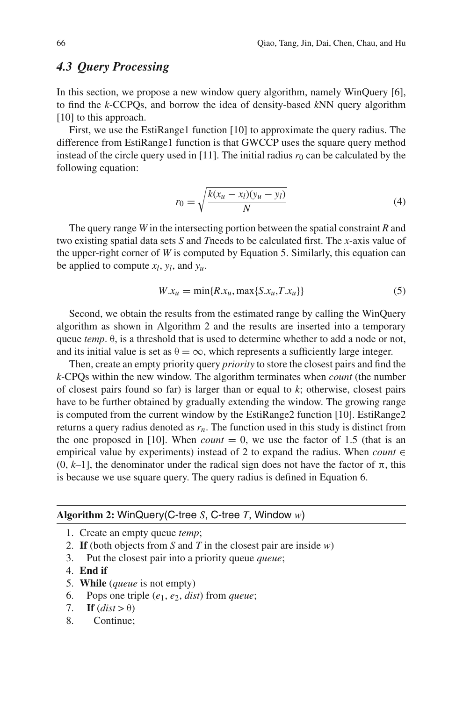# *4.3 Query Processing*

In this section, we propose a new window query algorithm, namely WinQuery [\[6\]](#page-16-1), to find the *k*-CCPQs, and borrow the idea of density-based *k*NN query algorithm [\[10\]](#page-16-5) to this approach.

First, we use the EstiRange1 function [\[10\]](#page-16-5) to approximate the query radius. The difference from EstiRange1 function is that GWCCP uses the square query method instead of the circle query used in [\[11\]](#page-16-6). The initial radius  $r_0$  can be calculated by the following equation:

$$
r_0 = \sqrt{\frac{k(x_u - x_l)(y_u - y_l)}{N}}
$$
(4)

The query range *W* in the intersecting portion between the spatial constraint *R* and two existing spatial data sets *S* and *T*needs to be calculated first. The *x*-axis value of the upper-right corner of *W* is computed by Equation [5.](#page-7-0) Similarly, this equation can be applied to compute  $x_l$ ,  $y_l$ , and  $y_u$ .

<span id="page-7-0"></span>
$$
W.x_u = \min\{R.x_u, \max\{S.x_u, Tx_u\}\}\tag{5}
$$

Second, we obtain the results from the estimated range by calling the WinQuery algorithm as shown in Algorithm 2 and the results are inserted into a temporary queue *temp*. θ, is a threshold that is used to determine whether to add a node or not, and its initial value is set as  $\theta = \infty$ , which represents a sufficiently large integer.

Then, create an empty priority query *priority* to store the closest pairs and find the *k*-CPQs within the new window. The algorithm terminates when *count* (the number of closest pairs found so far) is larger than or equal to *k*; otherwise, closest pairs have to be further obtained by gradually extending the window. The growing range is computed from the current window by the EstiRange2 function [\[10\]](#page-16-5). EstiRange2 returns a query radius denoted as  $r_n$ . The function used in this study is distinct from the one proposed in [\[10\]](#page-16-5). When *count*  $= 0$ , we use the factor of 1.5 (that is an empirical value by experiments) instead of 2 to expand the radius. When *count* ∈  $(0, k-1]$ , the denominator under the radical sign does not have the factor of  $\pi$ , this is because we use square query. The query radius is defined in Equation [6.](#page-8-0)

#### **Algorithm 2:** WinQuery(C-tree *S*, C-tree *T*, Window *w*)

- 1. Create an empty queue *temp*;
- 2. **If** (both objects from *S* and *T* in the closest pair are inside *w*)
- 3. Put the closest pair into a priority queue *queue*;
- 4. **End if**
- 5. **While** (*queue* is not empty)
- 6. Pops one triple (*e*1, *e*2, *dist*) from *queue*;
- 7. **If**  $(dist > \theta)$
- 8. Continue;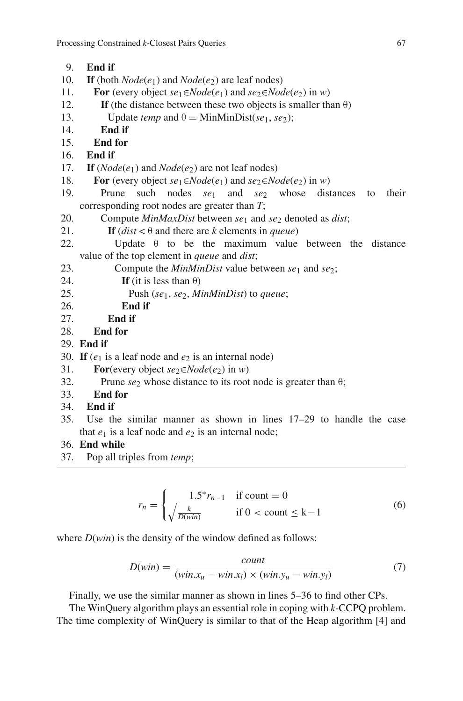- 9. **End if**
- 10. **If** (both  $Node(e_1)$  and  $Node(e_2)$  are leaf nodes)<br>11 **For** (every object set  $\epsilon \text{Node}(e_1)$  and set  $\epsilon \text{Node}(e_2)$ )
- 11. **For** (every object  $se_1 \in Node(e_1)$  and  $se_2 \in Node(e_2)$  in *w*)<br>12. **If** (the distance between these two objects is smaller the
- **If** (the distance between these two objects is smaller than  $\theta$ )
- 13. Update *temp* and  $\theta = \text{MinMinDist}(se_1, se_2);$ <br>14 End if
- 14. **End if**
- End for
- 16. **End if**
- 17. **If**  $(Node(e_1)$  and  $Node(e_2)$  are not leaf nodes)<br>18. **For** (every object  $se_1 \in Node(e_1)$  and  $se_2 \in No$
- 18. **For** (every object  $se_1 \in Node(e_1)$  and  $se_2 \in Node(e_2)$  in *w*)<br>19. **Prune** such nodes  $se_1$  and  $se_2$  whose dist
- 19. Prune such nodes *se*<sup>1</sup> and *se*<sup>2</sup> whose distances to their corresponding root nodes are greater than *T*;
- 20. Compute *MinMaxDist* between  $se_1$  and  $se_2$  denoted as *dist*;<br>21. **If** (*dist*  $\lt \theta$  and there are *k* elements in *queue*)
- **If**  $dist < \theta$  and there are *k* elements in *queue*)
- 22. Update  $\theta$  to be the maximum value between the distance value of the top element in *queue* and *dist*;
- 23. Compute the *MinMinDist* value between  $se_1$  and  $se_2$ ;
- 24. **If** (it is less than  $\theta$ )
- 25. Push (*se*1, *se*2, *MinMinDist*) to *queue*;
- 26. **End if**
- 27. **End if**

#### 28. **End for**

#### 29. **End if**

- 30. **If** ( $e_1$  is a leaf node and  $e_2$  is an internal node)
- 31. **For**(every object  $se_2 \in Node(e_2)$  in *w*)<br>32. Prune  $se_2$  whose distance to its root
- 32. Prune  $se_2$  whose distance to its root node is greater than  $\theta$ ;<br>33 **Find for**
- 33. **End for**

#### 34. **End if**

35. Use the similar manner as shown in lines 17–29 to handle the case that  $e_1$  is a leaf node and  $e_2$  is an internal node;

#### 36. **End while**

<span id="page-8-0"></span>37. Pop all triples from *temp*;

$$
r_n = \begin{cases} \frac{1.5^* r_{n-1}}{N} & \text{if count } = 0\\ \sqrt{\frac{k}{D(\text{win})}} & \text{if } 0 < \text{count } \le k - 1 \end{cases}
$$
 (6)

where *D*(*win*) is the density of the window defined as follows:

$$
D(\text{win}) = \frac{\text{count}}{(\text{win}.x_u - \text{win}.x_l) \times (\text{win}.y_u - \text{win}.y_l)}
$$
(7)

Finally, we use the similar manner as shown in lines 5–36 to find other CPs.

The WinQuery algorithm plays an essential role in coping with *k*-CCPQ problem. The time complexity of WinQuery is similar to that of the Heap algorithm [\[4\]](#page-15-3) and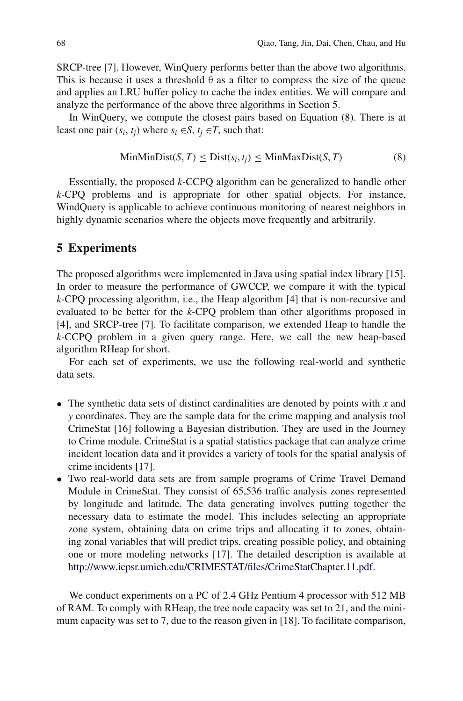SRCP-tree [\[7\]](#page-16-2). However, WinQuery performs better than the above two algorithms. This is because it uses a threshold  $\theta$  as a filter to compress the size of the queue and applies an LRU buffer policy to cache the index entities. We will compare and analyze the performance of the above three algorithms in Section [5.](#page-9-0)

In WinQuery, we compute the closest pairs based on Equation [\(8\)](#page-9-1). There is at least one pair  $(s_i, t_j)$  where  $s_i \in S$ ,  $t_i \in T$ , such that:

<span id="page-9-1"></span>
$$
MinMinDist(S, T) \le Dist(s_i, t_j) \le MinMaxDist(S, T)
$$
\n(8)

Essentially, the proposed *k*-CCPQ algorithm can be generalized to handle other *k*-CPQ problems and is appropriate for other spatial objects. For instance, WindQuery is applicable to achieve continuous monitoring of nearest neighbors in highly dynamic scenarios where the objects move frequently and arbitrarily.

## <span id="page-9-0"></span>**5 Experiments**

The proposed algorithms were implemented in Java using spatial index library [\[15\]](#page-16-10). In order to measure the performance of GWCCP, we compare it with the typical *k*-CPQ processing algorithm, i.e., the Heap algorithm [\[4\]](#page-15-3) that is non-recursive and evaluated to be better for the *k*-CPQ problem than other algorithms proposed in [\[4\]](#page-15-3), and SRCP-tree [\[7\]](#page-16-2). To facilitate comparison, we extended Heap to handle the *k*-CCPQ problem in a given query range. Here, we call the new heap-based algorithm RHeap for short.

For each set of experiments, we use the following real-world and synthetic data sets.

- The synthetic data sets of distinct cardinalities are denoted by points with *x* and *y* coordinates. They are the sample data for the crime mapping and analysis tool CrimeStat [\[16\]](#page-16-11) following a Bayesian distribution. They are used in the Journey to Crime module. CrimeStat is a spatial statistics package that can analyze crime incident location data and it provides a variety of tools for the spatial analysis of crime incidents [\[17\]](#page-16-12).
- Two real-world data sets are from sample programs of Crime Travel Demand Module in CrimeStat. They consist of 65,536 traffic analysis zones represented by longitude and latitude. The data generating involves putting together the necessary data to estimate the model. This includes selecting an appropriate zone system, obtaining data on crime trips and allocating it to zones, obtaining zonal variables that will predict trips, creating possible policy, and obtaining one or more modeling networks [\[17\]](#page-16-12). The detailed description is available at http://www.icpsr.umich.edu/CRIMESTAT/files/CrimeStatChapter.11.pdf.

We conduct experiments on a PC of 2.4 GHz Pentium 4 processor with 512 MB of RAM. To comply with RHeap, the tree node capacity was set to 21, and the minimum capacity was set to 7, due to the reason given in [\[18\]](#page-16-13). To facilitate comparison,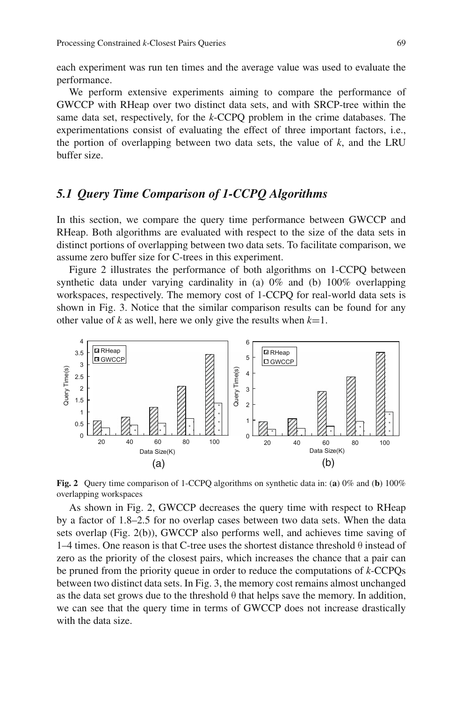each experiment was run ten times and the average value was used to evaluate the performance.

We perform extensive experiments aiming to compare the performance of GWCCP with RHeap over two distinct data sets, and with SRCP-tree within the same data set, respectively, for the *k*-CCPQ problem in the crime databases. The experimentations consist of evaluating the effect of three important factors, i.e., the portion of overlapping between two data sets, the value of *k*, and the LRU buffer size.

## *5.1 Query Time Comparison of 1-CCPQ Algorithms*

In this section, we compare the query time performance between GWCCP and RHeap. Both algorithms are evaluated with respect to the size of the data sets in distinct portions of overlapping between two data sets. To facilitate comparison, we assume zero buffer size for C-trees in this experiment.

Figure [2](#page-10-0) illustrates the performance of both algorithms on 1-CCPQ between synthetic data under varying cardinality in (a) 0% and (b) 100% overlapping workspaces, respectively. The memory cost of 1-CCPQ for real-world data sets is shown in Fig. [3.](#page-11-0) Notice that the similar comparison results can be found for any other value of  $k$  as well, here we only give the results when  $k=1$ .

<span id="page-10-0"></span>

**Fig. 2** Query time comparison of 1-CCPQ algorithms on synthetic data in: (**a**) 0% and (**b**) 100% overlapping workspaces

As shown in Fig. [2,](#page-10-0) GWCCP decreases the query time with respect to RHeap by a factor of 1.8–2.5 for no overlap cases between two data sets. When the data sets overlap (Fig. [2\(](#page-10-0)b)), GWCCP also performs well, and achieves time saving of 1–4 times. One reason is that C-tree uses the shortest distance threshold  $\theta$  instead of zero as the priority of the closest pairs, which increases the chance that a pair can be pruned from the priority queue in order to reduce the computations of *k*-CCPQs between two distinct data sets. In Fig. [3,](#page-11-0) the memory cost remains almost unchanged as the data set grows due to the threshold  $\theta$  that helps save the memory. In addition, we can see that the query time in terms of GWCCP does not increase drastically with the data size.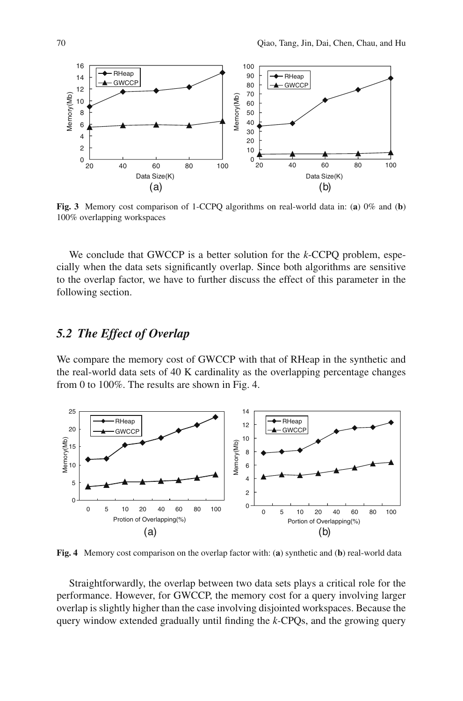<span id="page-11-0"></span>

**Fig. 3** Memory cost comparison of 1-CCPQ algorithms on real-world data in: (**a**) 0% and (**b**) 100% overlapping workspaces

We conclude that GWCCP is a better solution for the *k*-CCPQ problem, especially when the data sets significantly overlap. Since both algorithms are sensitive to the overlap factor, we have to further discuss the effect of this parameter in the following section.

## *5.2 The Effect of Overlap*

We compare the memory cost of GWCCP with that of RHeap in the synthetic and the real-world data sets of 40 K cardinality as the overlapping percentage changes from 0 to 100%. The results are shown in Fig. [4.](#page-11-1)

<span id="page-11-1"></span>

**Fig. 4** Memory cost comparison on the overlap factor with: (**a**) synthetic and (**b**) real-world data

Straightforwardly, the overlap between two data sets plays a critical role for the performance. However, for GWCCP, the memory cost for a query involving larger overlap is slightly higher than the case involving disjointed workspaces. Because the query window extended gradually until finding the *k-*CPQs, and the growing query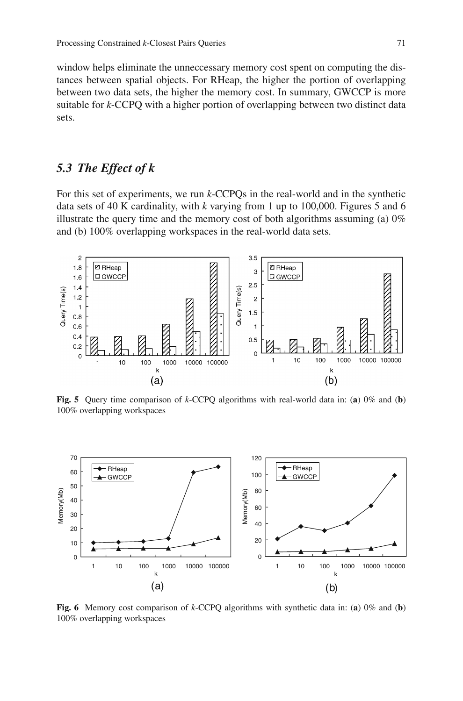window helps eliminate the unneccessary memory cost spent on computing the distances between spatial objects. For RHeap, the higher the portion of overlapping between two data sets, the higher the memory cost. In summary, GWCCP is more suitable for *k*-CCPQ with a higher portion of overlapping between two distinct data sets.

## *5.3 The Effect of k*

For this set of experiments, we run *k*-CCPQs in the real-world and in the synthetic data sets of 40 K cardinality, with *k* varying from 1 up to 100,000. Figures [5](#page-12-0) and [6](#page-12-1) illustrate the query time and the memory cost of both algorithms assuming (a)  $0\%$ and (b) 100% overlapping workspaces in the real-world data sets.

<span id="page-12-0"></span>

**Fig. 5** Query time comparison of *k*-CCPQ algorithms with real-world data in: (**a**) 0% and (**b**) 100% overlapping workspaces

<span id="page-12-1"></span>

**Fig. 6** Memory cost comparison of *k*-CCPQ algorithms with synthetic data in: (**a**) 0% and (**b**) 100% overlapping workspaces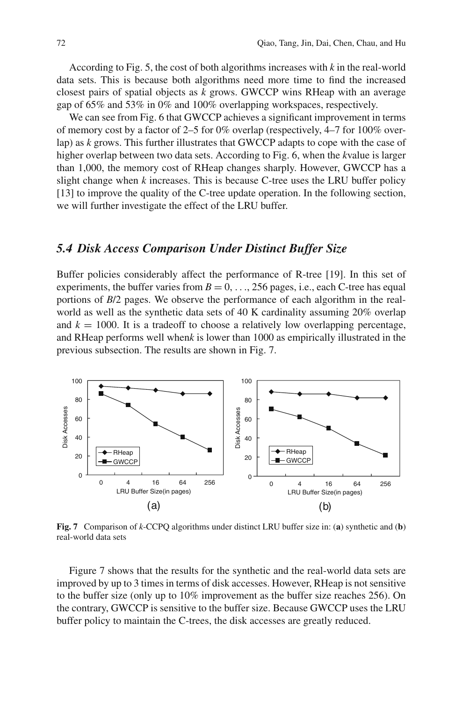According to Fig. [5,](#page-12-0) the cost of both algorithms increases with *k* in the real-world data sets. This is because both algorithms need more time to find the increased closest pairs of spatial objects as *k* grows. GWCCP wins RHeap with an average gap of 65% and 53% in 0% and 100% overlapping workspaces, respectively.

We can see from Fig. [6](#page-12-1) that GWCCP achieves a significant improvement in terms of memory cost by a factor of 2–5 for 0% overlap (respectively,  $4-7$  for 100% overlap) as *k* grows. This further illustrates that GWCCP adapts to cope with the case of higher overlap between two data sets. According to Fig. [6,](#page-12-1) when the *k*value is larger than 1,000, the memory cost of RHeap changes sharply. However, GWCCP has a slight change when *k* increases. This is because C-tree uses the LRU buffer policy [\[13\]](#page-16-8) to improve the quality of the C-tree update operation. In the following section, we will further investigate the effect of the LRU buffer.

## *5.4 Disk Access Comparison Under Distinct Buffer Size*

Buffer policies considerably affect the performance of R-tree [\[19\]](#page-16-14). In this set of experiments, the buffer varies from  $B = 0, \ldots, 256$  pages, i.e., each C-tree has equal portions of *B*/2 pages. We observe the performance of each algorithm in the realworld as well as the synthetic data sets of 40 K cardinality assuming 20% overlap and  $k = 1000$ . It is a tradeoff to choose a relatively low overlapping percentage, and RHeap performs well when*k* is lower than 1000 as empirically illustrated in the previous subsection. The results are shown in Fig. [7.](#page-13-0)

<span id="page-13-0"></span>

**Fig. 7** Comparison of *k*-CCPQ algorithms under distinct LRU buffer size in: (**a**) synthetic and (**b**) real-world data sets

Figure [7](#page-13-0) shows that the results for the synthetic and the real-world data sets are improved by up to 3 times in terms of disk accesses. However, RHeap is not sensitive to the buffer size (only up to 10% improvement as the buffer size reaches 256). On the contrary, GWCCP is sensitive to the buffer size. Because GWCCP uses the LRU buffer policy to maintain the C-trees, the disk accesses are greatly reduced.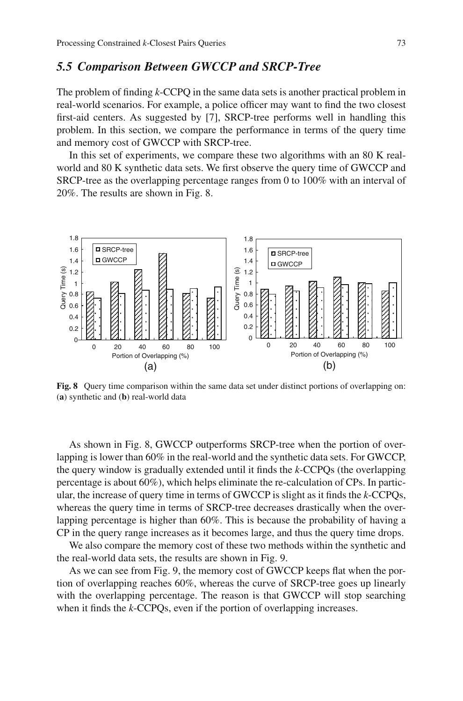## *5.5 Comparison Between GWCCP and SRCP-Tree*

The problem of finding *k*-CCPQ in the same data sets is another practical problem in real-world scenarios. For example, a police officer may want to find the two closest first-aid centers. As suggested by [\[7\]](#page-16-2), SRCP-tree performs well in handling this problem. In this section, we compare the performance in terms of the query time and memory cost of GWCCP with SRCP-tree.

In this set of experiments, we compare these two algorithms with an 80 K realworld and 80 K synthetic data sets. We first observe the query time of GWCCP and SRCP-tree as the overlapping percentage ranges from 0 to 100% with an interval of 20%. The results are shown in Fig. [8.](#page-14-1)

<span id="page-14-1"></span>

**Fig. 8** Query time comparison within the same data set under distinct portions of overlapping on: (**a**) synthetic and (**b**) real-world data

As shown in Fig. [8,](#page-14-1) GWCCP outperforms SRCP-tree when the portion of overlapping is lower than 60% in the real-world and the synthetic data sets. For GWCCP, the query window is gradually extended until it finds the *k*-CCPQs (the overlapping percentage is about 60%), which helps eliminate the re-calculation of CPs. In particular, the increase of query time in terms of GWCCP is slight as it finds the *k*-CCPQs, whereas the query time in terms of SRCP-tree decreases drastically when the overlapping percentage is higher than 60%. This is because the probability of having a CP in the query range increases as it becomes large, and thus the query time drops.

We also compare the memory cost of these two methods within the synthetic and the real-world data sets, the results are shown in Fig. [9.](#page-15-4)

<span id="page-14-0"></span>As we can see from Fig. [9,](#page-15-4) the memory cost of GWCCP keeps flat when the portion of overlapping reaches 60%, whereas the curve of SRCP-tree goes up linearly with the overlapping percentage. The reason is that GWCCP will stop searching when it finds the *k*-CCPQs, even if the portion of overlapping increases.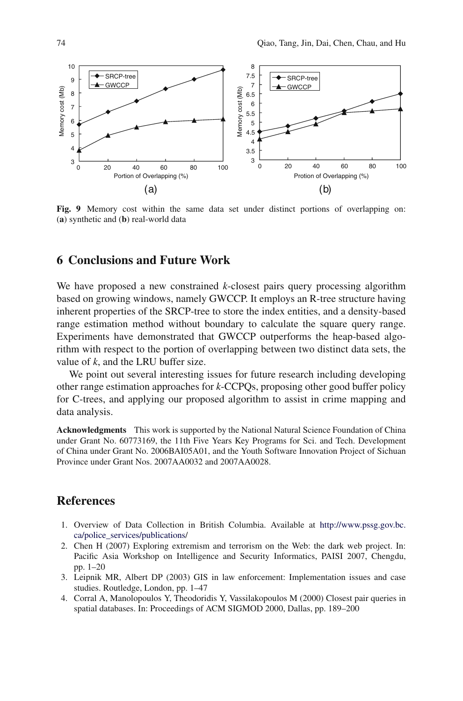<span id="page-15-4"></span>

**Fig. 9** Memory cost within the same data set under distinct portions of overlapping on: (**a**) synthetic and (**b**) real-world data

# **6 Conclusions and Future Work**

We have proposed a new constrained *k*-closest pairs query processing algorithm based on growing windows, namely GWCCP. It employs an R-tree structure having inherent properties of the SRCP-tree to store the index entities, and a density-based range estimation method without boundary to calculate the square query range. Experiments have demonstrated that GWCCP outperforms the heap-based algorithm with respect to the portion of overlapping between two distinct data sets, the value of *k*, and the LRU buffer size.

We point out several interesting issues for future research including developing other range estimation approaches for *k*-CCPQs, proposing other good buffer policy for C-trees, and applying our proposed algorithm to assist in crime mapping and data analysis.

**Acknowledgments** This work is supported by the National Natural Science Foundation of China under Grant No. 60773169, the 11th Five Years Key Programs for Sci. and Tech. Development of China under Grant No. 2006BAI05A01, and the Youth Software Innovation Project of Sichuan Province under Grant Nos. 2007AA0032 and 2007AA0028.

## **References**

- 1. Overview of Data Collection in British Columbia. Available at http://www.pssg.gov.bc. ca/police\_services/publications/
- <span id="page-15-0"></span>2. Chen H (2007) Exploring extremism and terrorism on the Web: the dark web project. In: Pacific Asia Workshop on Intelligence and Security Informatics, PAISI 2007, Chengdu, pp. 1–20
- <span id="page-15-1"></span>3. Leipnik MR, Albert DP (2003) GIS in law enforcement: Implementation issues and case studies. Routledge, London, pp. 1–47
- <span id="page-15-3"></span><span id="page-15-2"></span>4. Corral A, Manolopoulos Y, Theodoridis Y, Vassilakopoulos M (2000) Closest pair queries in spatial databases. In: Proceedings of ACM SIGMOD 2000, Dallas, pp. 189–200